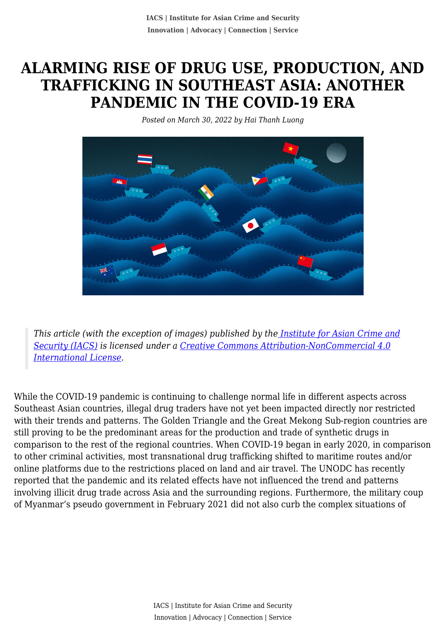# **ALARMING RISE OF DRUG USE, PRODUCTION, AND TRAFFICKING IN SOUTHEAST ASIA: ANOTHER PANDEMIC IN THE COVID-19 ERA**

*Posted on March 30, 2022 by Hai Thanh Luong*



*This article (with the exception of images) published by th[e Institute for Asian Crime and](http://www.theiacs.org) [Security \(IACS\)](http://www.theiacs.org) is licensed under a [Creative Commons Attribution-NonCommercial 4.0](http://creativecommons.org/licenses/by-nc/4.0/) [International License](http://creativecommons.org/licenses/by-nc/4.0/).*

While the COVID-19 pandemic is continuing to challenge normal life in different aspects across Southeast Asian countries, illegal drug traders have not yet been impacted directly nor restricted with their trends and patterns. The Golden Triangle and the Great Mekong Sub-region countries are still proving to be the predominant areas for the production and trade of synthetic drugs in comparison to the rest of the regional countries. When COVID-19 began in early 2020, in comparison to other criminal activities, most transnational drug trafficking shifted to maritime routes and/or online platforms due to the restrictions placed on land and air travel. The UNODC has recently reported that the pandemic and its related effects have not influenced the trend and patterns involving illicit drug trade across Asia and the surrounding regions. Furthermore, the military coup of Myanmar's pseudo government in February 2021 did not also curb the complex situations of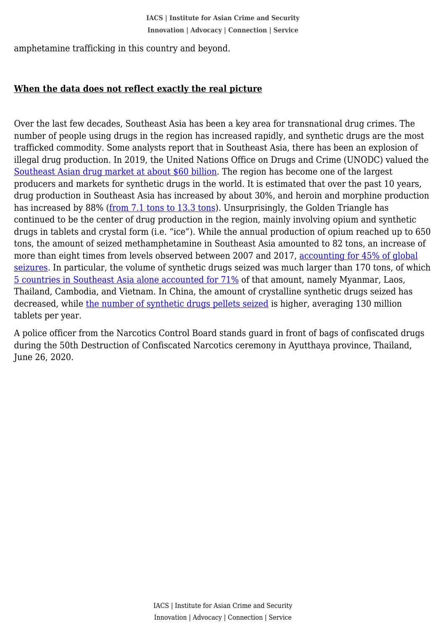amphetamine trafficking in this country and beyond.

## **When the data does not reflect exactly the real picture**

Over the last few decades, Southeast Asia has been a key area for transnational drug crimes. The number of people using drugs in the region has increased rapidly, and synthetic drugs are the most trafficked commodity. Some analysts report that in Southeast Asia, there has been an explosion of illegal drug production. In 2019, the United Nations Office on Drugs and Crime (UNODC) valued the [Southeast Asian drug market at about \\$60 billion.](https://www.economist.com/asia/2021/12/11/south-east-asia-is-awash-in-drugs) The region has become one of the largest producers and markets for synthetic drugs in the world. It is estimated that over the past 10 years, drug production in Southeast Asia has increased by about 30%, and heroin and morphine production has increased by 88% ([from 7.1 tons to 13.3 tons\)](https://www.unodc.org/wdr2017/field/Booklet_3_Opiate_market.pdf). Unsurprisingly, the Golden Triangle has continued to be the center of drug production in the region, mainly involving opium and synthetic drugs in tablets and crystal form (i.e. "ice"). While the annual production of opium reached up to 650 tons, the amount of seized methamphetamine in Southeast Asia amounted to 82 tons, an increase of more than eight times from levels observed between 2007 and 2017, [accounting for 45% of global](https://wdr.unodc.org/wdr2019/en/exsum.html) [seizures.](https://wdr.unodc.org/wdr2019/en/exsum.html) In particular, the volume of synthetic drugs seized was much larger than 170 tons, of which [5 countries in Southeast Asia alone accounted for 71%](https://www.unodc.org/documents/southeastasiaandpacific/Publications/2021/Synthetic_Drugs_in_East_and_Southeast_Asia_2021.pdf) of that amount, namely Myanmar, Laos, Thailand, Cambodia, and Vietnam. In China, the amount of crystalline synthetic drugs seized has decreased, while [the number of synthetic drugs pellets seized](https://www.unodc.org/documents/scientific/ATS/2020_ESEA_Regonal_Synthetic_Drug_Report_web.pdf) is higher, averaging 130 million tablets per year.

A police officer from the Narcotics Control Board stands guard in front of bags of confiscated drugs during the 50th Destruction of Confiscated Narcotics ceremony in Ayutthaya province, Thailand, June 26, 2020.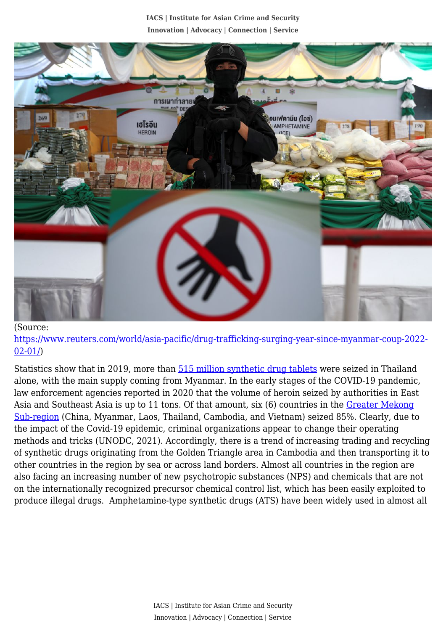**IACS | Institute for Asian Crime and Security Innovation | Advocacy | Connection | Service**



## (Source:

[https://www.reuters.com/world/asia-pacific/drug-trafficking-surging-year-since-myanmar-coup-2022-](https://www.reuters.com/world/asia-pacific/drug-trafficking-surging-year-since-myanmar-coup-2022-02-01/) [02-01/](https://www.reuters.com/world/asia-pacific/drug-trafficking-surging-year-since-myanmar-coup-2022-02-01/))

Statistics show that in 2019, more than  $\frac{515}{100}$  million synthetic drug tablets were seized in Thailand alone, with the main supply coming from Myanmar. In the early stages of the COVID-19 pandemic, law enforcement agencies reported in 2020 that the volume of heroin seized by authorities in East Asia and Southeast Asia is up to 11 tons. Of that amount, six (6) countries in the [Greater Mekong](https://indonesia.un.org/en/132545-methamphetamine-trafficking-has-surged-east-and-southeast-asia-despite-covid-19) [Sub-region](https://indonesia.un.org/en/132545-methamphetamine-trafficking-has-surged-east-and-southeast-asia-despite-covid-19) (China, Myanmar, Laos, Thailand, Cambodia, and Vietnam) seized 85%. Clearly, due to the impact of the Covid-19 epidemic, criminal organizations appear to change their operating methods and tricks (UNODC, 2021). Accordingly, there is a trend of increasing trading and recycling of synthetic drugs originating from the Golden Triangle area in Cambodia and then transporting it to other countries in the region by sea or across land borders. Almost all countries in the region are also facing an increasing number of new psychotropic substances (NPS) and chemicals that are not on the internationally recognized precursor chemical control list, which has been easily exploited to produce illegal drugs. Amphetamine-type synthetic drugs (ATS) have been widely used in almost all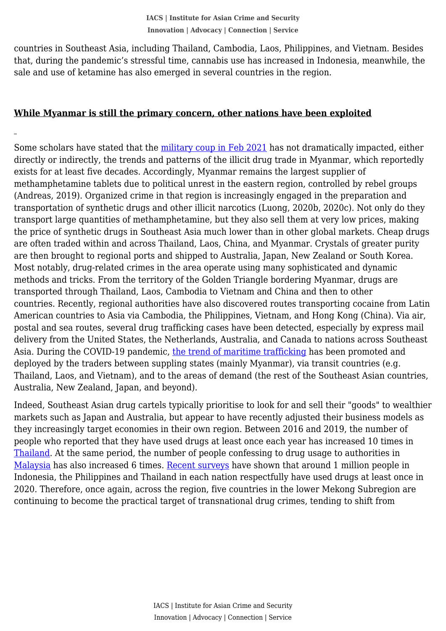that, during the pandemic's stressful time, cannabis use has increased in Indonesia, meanwhile, the countries in Southeast Asia, including Thailand, Cambodia, Laos, Philippines, and Vietnam. Besides sale and use of ketamine has also emerged in several countries in the region.

## **While Myanmar is still the primary concern, other nations have been exploited**

Some scholars have stated that the [military coup in Feb 2021](https://www.reuters.com/world/asia-pacific/drug-trafficking-surging-year-since-myanmar-coup-2022-02-01/) has not dramatically impacted, either directly or indirectly, the trends and patterns of the illicit drug trade in Myanmar, which reportedly exists for at least five decades. Accordingly, Myanmar remains the largest supplier of methamphetamine tablets due to political unrest in the eastern region, controlled by rebel groups (Andreas, 2019). Organized crime in that region is increasingly engaged in the preparation and transportation of synthetic drugs and other illicit narcotics (Luong, 2020b, 2020c). Not only do they transport large quantities of methamphetamine, but they also sell them at very low prices, making the price of synthetic drugs in Southeast Asia much lower than in other global markets. Cheap drugs are often traded within and across Thailand, Laos, China, and Myanmar. Crystals of greater purity are then brought to regional ports and shipped to Australia, Japan, New Zealand or South Korea. Most notably, drug-related crimes in the area operate using many sophisticated and dynamic methods and tricks. From the territory of the Golden Triangle bordering Myanmar, drugs are transported through Thailand, Laos, Cambodia to Vietnam and China and then to other countries. Recently, regional authorities have also discovered routes transporting cocaine from Latin American countries to Asia via Cambodia, the Philippines, Vietnam, and Hong Kong (China). Via air, postal and sea routes, several drug trafficking cases have been detected, especially by express mail delivery from the United States, the Netherlands, Australia, and Canada to nations across Southeast Asia. During the COVID-19 pandemic, [the trend of maritime trafficking](https://www.reportingasean.net/what-covid-19-synthetic-drug-trade-thrives-in-mekong-region/) has been promoted and deployed by the traders between suppling states (mainly Myanmar), via transit countries (e.g. Thailand, Laos, and Vietnam), and to the areas of demand (the rest of the Southeast Asian countries, Australia, New Zealand, Japan, and beyond).

Indeed, Southeast Asian drug cartels typically prioritise to look for and sell their "goods" to wealthier markets such as Japan and Australia, but appear to have recently adjusted their business models as they increasingly target economies in their own region. Between 2016 and 2019, the number of people who reported that they have used drugs at least once each year has increased 10 times in [Thailand.](https://www.gpdpd.org/en/countries/thailand-increased-focus-on-health-oriented-drug-policy) At the same period, the number of people confessing to drug usage to authorities in [Malaysia](https://www.unodc.org/res/wdr2021/field/WDR21_Booklet_2.pdf) has also increased 6 times. [Recent surveys](https://www.unodc.org/unodc/press/releases/2021/June/unodc-world-drug-report-2021_-pandemic-effects-ramp-up-drug-risks--as-youth-underestimate-cannabis-dangers.html) have shown that around 1 million people in Indonesia, the Philippines and Thailand in each nation respectfully have used drugs at least once in 2020. Therefore, once again, across the region, five countries in the lower Mekong Subregion are continuing to become the practical target of transnational drug crimes, tending to shift from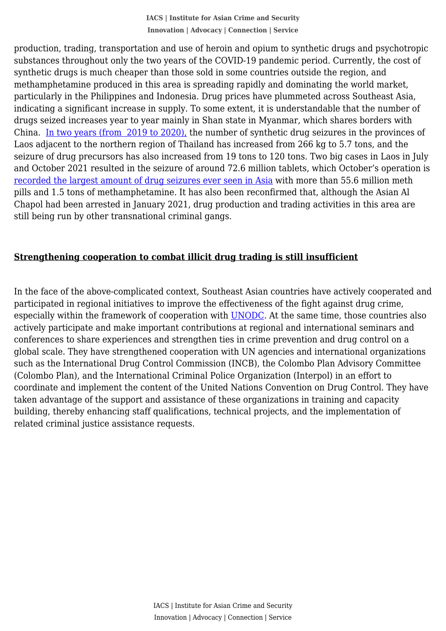substances throughout only the two years of the COVID-19 pandemic period. Currently, the cost of production, trading, transportation and use of heroin and opium to synthetic drugs and psychotropic synthetic drugs is much cheaper than those sold in some countries outside the region, and methamphetamine produced in this area is spreading rapidly and dominating the world market, particularly in the Philippines and Indonesia. Drug prices have plummeted across Southeast Asia, indicating a significant increase in supply. To some extent, it is understandable that the number of drugs seized increases year to year mainly in Shan state in Myanmar, which shares borders with China. [In two years \(from 2019 to 2020\),](https://news.abs-cbn.com/spotlight/06/30/21/illegal-drugs-shabu-golden-triangle-asia) the number of synthetic drug seizures in the provinces of Laos adjacent to the northern region of Thailand has increased from 266 kg to 5.7 tons, and the seizure of drug precursors has also increased from 19 tons to 120 tons. Two big cases in Laos in July and October 2021 resulted in the seizure of around 72.6 million tablets, which October's operation is [recorded the largest amount of drug seizures ever seen in Asia](https://www.washingtonpost.com/world/2021/10/29/laos-drug-bust-golden-triangle-methamphetamine/) with more than 55.6 million meth pills and 1.5 tons of methamphetamine. It has also been reconfirmed that, although the Asian Al Chapol had been arrested in January 2021, drug production and trading activities in this area are still being run by other transnational criminal gangs.

# **Strengthening cooperation to combat illicit drug trading is still insufficient**

In the face of the above-complicated context, Southeast Asian countries have actively cooperated and participated in regional initiatives to improve the effectiveness of the fight against drug crime, especially within the framework of cooperation with [UNODC.](https://asia.nikkei.com/Opinion/Southeast-Asia-must-unite-to-tackle-its-drug-problem) At the same time, those countries also actively participate and make important contributions at regional and international seminars and conferences to share experiences and strengthen ties in crime prevention and drug control on a global scale. They have strengthened cooperation with UN agencies and international organizations such as the International Drug Control Commission (INCB), the Colombo Plan Advisory Committee (Colombo Plan), and the International Criminal Police Organization (Interpol) in an effort to coordinate and implement the content of the United Nations Convention on Drug Control. They have taken advantage of the support and assistance of these organizations in training and capacity building, thereby enhancing staff qualifications, technical projects, and the implementation of related criminal justice assistance requests.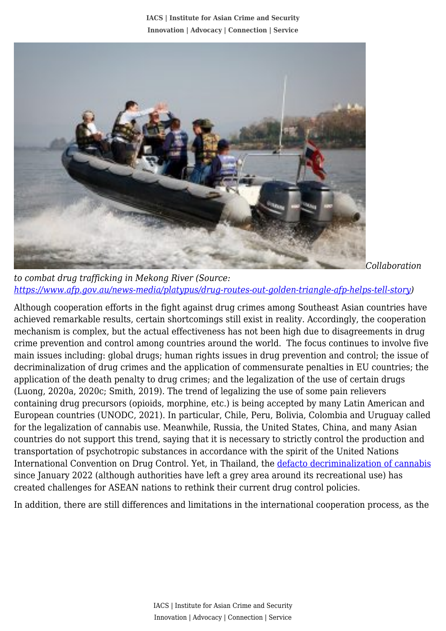**IACS | Institute for Asian Crime and Security Innovation | Advocacy | Connection | Service**



*Collaboration*

*to combat drug trafficking in Mekong River (Source: [https://www.afp.gov.au/news-media/platypus/drug-routes-out-golden-triangle-afp-helps-tell-story\)](https://www.afp.gov.au/news-media/platypus/drug-routes-out-golden-triangle-afp-helps-tell-story)*

Although cooperation efforts in the fight against drug crimes among Southeast Asian countries have achieved remarkable results, certain shortcomings still exist in reality. Accordingly, the cooperation mechanism is complex, but the actual effectiveness has not been high due to disagreements in drug crime prevention and control among countries around the world. The focus continues to involve five main issues including: global drugs; human rights issues in drug prevention and control; the issue of decriminalization of drug crimes and the application of commensurate penalties in EU countries; the application of the death penalty to drug crimes; and the legalization of the use of certain drugs (Luong, 2020a, 2020c; Smith, 2019). The trend of legalizing the use of some pain relievers containing drug precursors (opioids, morphine, etc.) is being accepted by many Latin American and European countries (UNODC, 2021). In particular, Chile, Peru, Bolivia, Colombia and Uruguay called for the legalization of cannabis use. Meanwhile, Russia, the United States, China, and many Asian countries do not support this trend, saying that it is necessary to strictly control the production and transportation of psychotropic substances in accordance with the spirit of the United Nations International Convention on Drug Control. Yet, in Thailand, the [defacto decriminalization of cannabis](https://time.com/6142360/thailand-decriminalizes-marijuana/) since January 2022 (although authorities have left a grey area around its recreational use) has created challenges for ASEAN nations to rethink their current drug control policies.

In addition, there are still differences and limitations in the international cooperation process, as the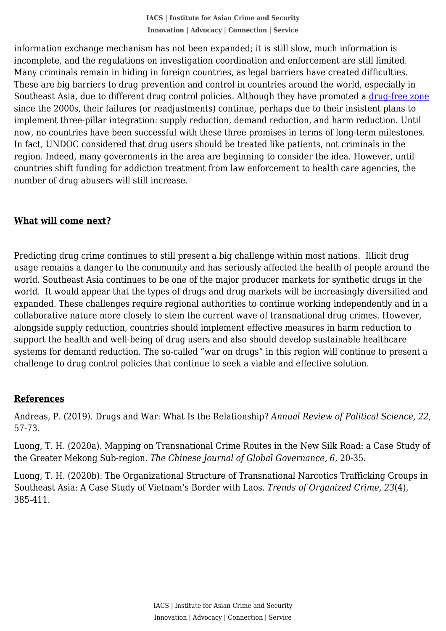incomplete, and the regulations on investigation coordination and enforcement are still limited. information exchange mechanism has not been expanded; it is still slow, much information is Many criminals remain in hiding in foreign countries, as legal barriers have created difficulties. These are big barriers to drug prevention and control in countries around the world, especially in Southeast Asia, due to different drug control policies. Although they have promoted a [drug-free zone](https://www.unodc.org/documents/southeastasiaandpacific/Publications/ASEAN_2015.pdf) since the 2000s, their failures (or readjustments) continue, perhaps due to their insistent plans to implement three-pillar integration: supply reduction, demand reduction, and harm reduction. Until now, no countries have been successful with these three promises in terms of long-term milestones. In fact, UNDOC considered that drug users should be treated like patients, not criminals in the region. Indeed, many governments in the area are beginning to consider the idea. However, until countries shift funding for addiction treatment from law enforcement to health care agencies, the number of drug abusers will still increase.

# **What will come next?**

Predicting drug crime continues to still present a big challenge within most nations. Illicit drug usage remains a danger to the community and has seriously affected the health of people around the world. Southeast Asia continues to be one of the major producer markets for synthetic drugs in the world. It would appear that the types of drugs and drug markets will be increasingly diversified and expanded. These challenges require regional authorities to continue working independently and in a collaborative nature more closely to stem the current wave of transnational drug crimes. However, alongside supply reduction, countries should implement effective measures in harm reduction to support the health and well-being of drug users and also should develop sustainable healthcare systems for demand reduction. The so-called "war on drugs" in this region will continue to present a challenge to drug control policies that continue to seek a viable and effective solution.

### **References**

Andreas, P. (2019). Drugs and War: What Is the Relationship? *Annual Review of Political Science, 22*, 57-73.

Luong, T. H. (2020a). Mapping on Transnational Crime Routes in the New Silk Road: a Case Study of the Greater Mekong Sub-region. *The Chinese Journal of Global Governance, 6*, 20-35.

Luong, T. H. (2020b). The Organizational Structure of Transnational Narcotics Trafficking Groups in Southeast Asia: A Case Study of Vietnam's Border with Laos. *Trends of Organized Crime, 23*(4), 385-411.